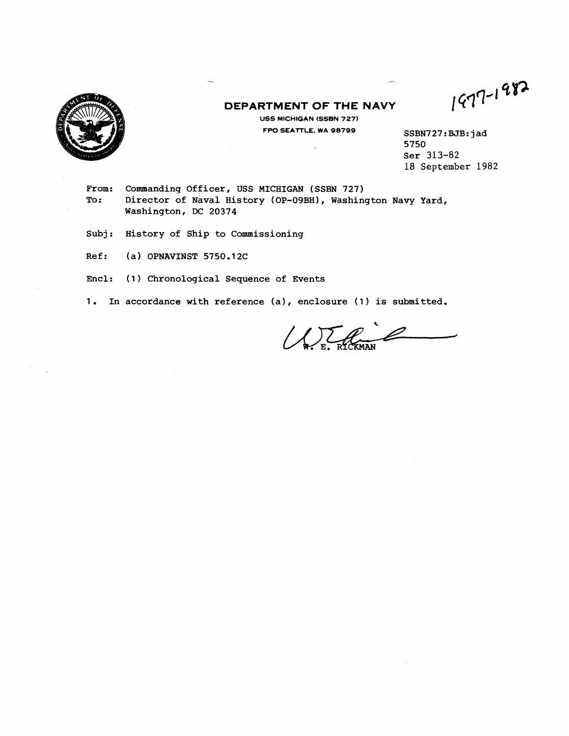

## **DEPARTMENT OF THE NAVY USS MICHIGAN (SSBN 727)**

 $\ddot{\phantom{a}}$ 

1977-1982

**FW SEATTLE, WA 98799 SSBN727:BJB: jad 5750 Ser** 313-82 18 **September** 1982

-

- From: Commanding Officer, USS MICHIGAN (SSBN 727)<br>To: Director of Naval History (OP-09BH), Washin **To: Director of Naval History (OP-09BH), Washington Navy Yard, Washington, DC 20374**
- **Subj: History of Ship to Commissioning**
- **Ref: (a) OPNAVINST 5750.12C**
- **Encl: (1) Chronological Sequence of Events**
- **1. In accordance with reference (a), enclosure (1) is submitted.**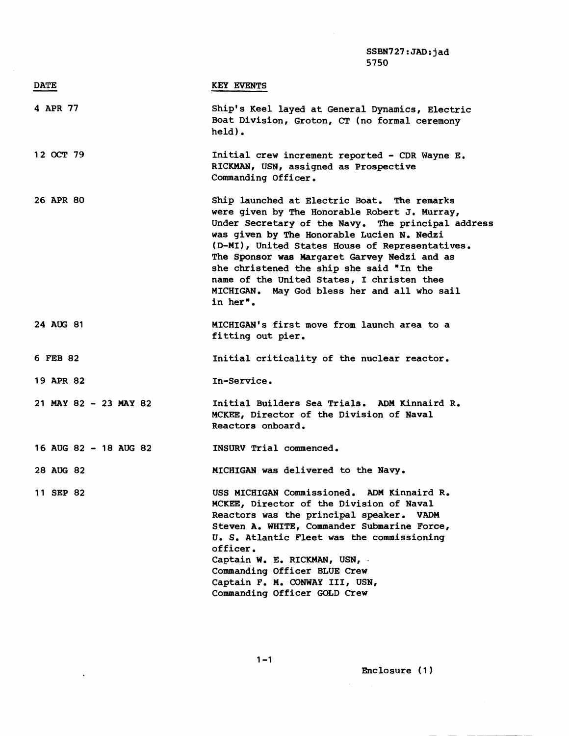|                       | SSBN727: JAD: jad<br>5750                                                                                                                                                                                                                                                                                                                                                                                                                                 |
|-----------------------|-----------------------------------------------------------------------------------------------------------------------------------------------------------------------------------------------------------------------------------------------------------------------------------------------------------------------------------------------------------------------------------------------------------------------------------------------------------|
| <b>DATE</b>           | <b>KEY EVENTS</b>                                                                                                                                                                                                                                                                                                                                                                                                                                         |
| 4 APR 77              | Ship's Keel layed at General Dynamics, Electric<br>Boat Division, Groton, CT (no formal ceremony<br>$held$ .                                                                                                                                                                                                                                                                                                                                              |
| 12 OCT 79             | Initial crew increment reported - CDR Wayne E.<br>RICKMAN, USN, assigned as Prospective<br>Commanding Officer.                                                                                                                                                                                                                                                                                                                                            |
| 26 APR 80             | Ship launched at Electric Boat. The remarks<br>were given by The Honorable Robert J. Murray,<br>Under Secretary of the Navy. The principal address<br>was given by The Honorable Lucien N. Nedzi<br>(D-MI), United States House of Representatives.<br>The Sponsor was Margaret Garvey Nedzi and as<br>she christened the ship she said "In the<br>name of the United States, I christen thee<br>MICHIGAN. May God bless her and all who sail<br>in her". |
| 24 AUG 81             | MICHIGAN's first move from launch area to a<br>fitting out pier.                                                                                                                                                                                                                                                                                                                                                                                          |
| 6 FEB 82              | Initial criticality of the nuclear reactor.                                                                                                                                                                                                                                                                                                                                                                                                               |
| 19 APR 82             | In-Service.                                                                                                                                                                                                                                                                                                                                                                                                                                               |
| 21 MAY 82 - 23 MAY 82 | Initial Builders Sea Trials. ADM Kinnaird R.<br>MCKEE, Director of the Division of Naval<br>Reactors onboard.                                                                                                                                                                                                                                                                                                                                             |
| 16 AUG 82 - 18 AUG 82 | INSURV Trial commenced.                                                                                                                                                                                                                                                                                                                                                                                                                                   |
| 28 AUG 82             | MICHIGAN was delivered to the Navy.                                                                                                                                                                                                                                                                                                                                                                                                                       |
| 11 SEP 82             | USS MICHIGAN Commissioned. ADM Kinnaird R.<br>MCKEE, Director of the Division of Naval<br>Reactors was the principal speaker. VADM<br>Steven A. WHITE, Commander Submarine Force,<br>U. S. Atlantic Fleet was the commissioning<br>officer.<br>Captain W. E. RICKMAN, USN,<br>Commanding Officer BLUE Crew<br>Captain F. M. CONWAY III, USN,<br>Commanding Officer GOLD Crew                                                                              |

Enclosure (1 )

 $\sim$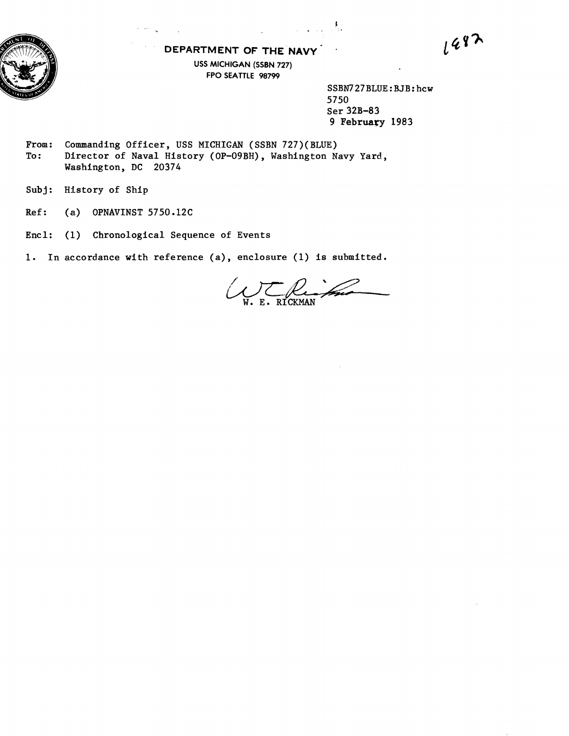

## **DEPARTMENT OF THE NAVY USS MICHIGAN (SSBN 727) FPO SEATTLE 98799**

**SSBN727BLUE** : **RJB: hcw 5750 Ser 32B-83 9 February 1983** 

 $1482$ 

From: Commanding Officer, USS MICHIGAN (SSBN 727)(BLUE) To: Director of Naval History (OP-O9BH), Washington N **To: Director of Naval History (OP-09BH), Washington Navy Yard, Washington, DC 20374** 

**Subj: HIstory of Ship** 

**Ref: (a) OPNAVINST 5750.12C** 

**Encl: (1) Chronological Sequence of Events** 

**1. In accordance with reference (a), enclosure (1) is submitted.** 

E. RICKMAN